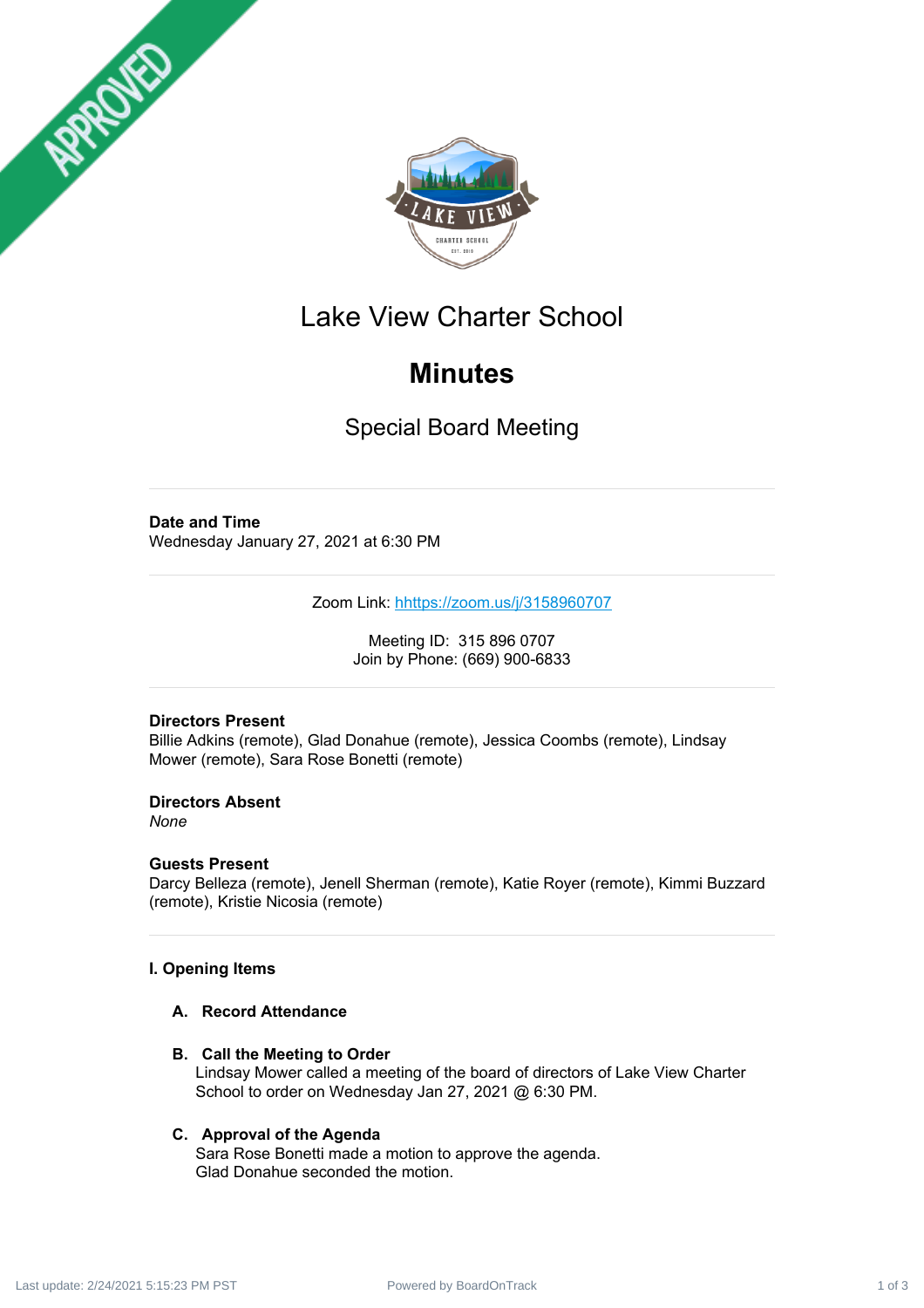



## Lake View Charter School

## **Minutes**

Special Board Meeting

#### **Date and Time**

Wednesday January 27, 2021 at 6:30 PM

Zoom Link: [h](https://zoom.us/j/98313547517)<https://zoom.us/j/3158960707>

Meeting ID: 315 896 0707 Join by Phone: (669) 900-6833

#### **Directors Present**

Billie Adkins (remote), Glad Donahue (remote), Jessica Coombs (remote), Lindsay Mower (remote), Sara Rose Bonetti (remote)

**Directors Absent** *None*

### **Guests Present**

Darcy Belleza (remote), Jenell Sherman (remote), Katie Royer (remote), Kimmi Buzzard (remote), Kristie Nicosia (remote)

#### **I. Opening Items**

#### **A. Record Attendance**

**B. Call the Meeting to Order**

Lindsay Mower called a meeting of the board of directors of Lake View Charter School to order on Wednesday Jan 27, 2021 @ 6:30 PM.

#### **C. Approval of the Agenda**

Sara Rose Bonetti made a motion to approve the agenda. Glad Donahue seconded the motion.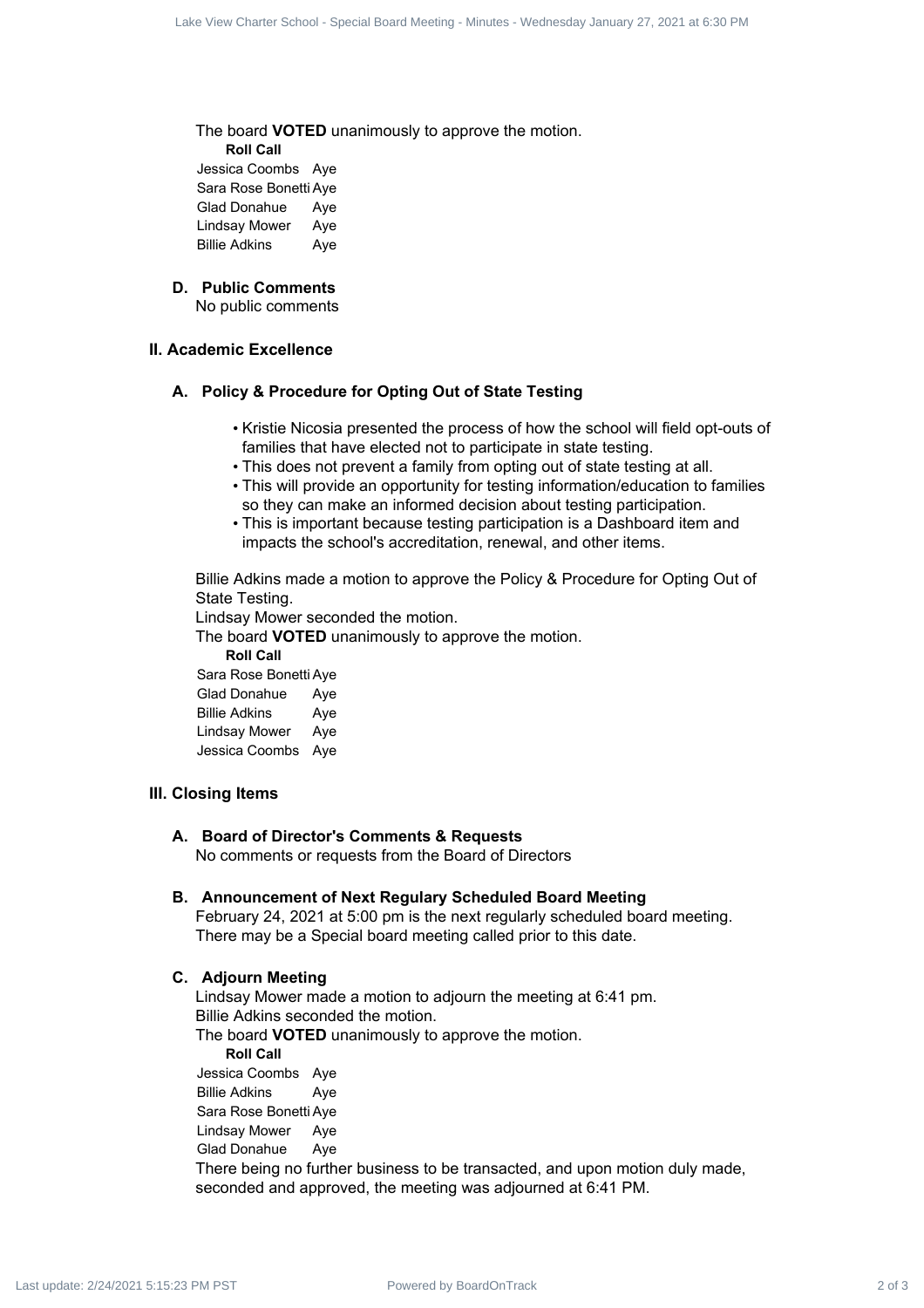The board **VOTED** unanimously to approve the motion.

**Roll Call**

Jessica Coombs Aye Sara Rose Bonetti Aye Glad Donahue Aye Lindsay Mower Aye Billie Adkins Aye

#### **D. Public Comments**

No public comments

#### **II. Academic Excellence**

#### **A. Policy & Procedure for Opting Out of State Testing**

- Kristie Nicosia presented the process of how the school will field opt-outs of families that have elected not to participate in state testing.
- This does not prevent a family from opting out of state testing at all.
- This will provide an opportunity for testing information/education to families so they can make an informed decision about testing participation.
- This is important because testing participation is a Dashboard item and impacts the school's accreditation, renewal, and other items.

Billie Adkins made a motion to approve the Policy & Procedure for Opting Out of State Testing.

Lindsay Mower seconded the motion.

The board **VOTED** unanimously to approve the motion.

**Roll Call** Sara Rose Bonetti Aye Glad Donahue Aye Billie Adkins Aye Lindsay Mower Aye Jessica Coombs Aye

#### **III. Closing Items**

#### **A. Board of Director's Comments & Requests**

No comments or requests from the Board of Directors

#### **B. Announcement of Next Regulary Scheduled Board Meeting**

February 24, 2021 at 5:00 pm is the next regularly scheduled board meeting. There may be a Special board meeting called prior to this date.

#### **C. Adjourn Meeting**

Lindsay Mower made a motion to adjourn the meeting at 6:41 pm. Billie Adkins seconded the motion. The board **VOTED** unanimously to approve the motion. **Roll Call** Jessica Coombs Aye Billie Adkins Aye Sara Rose Bonetti Aye Lindsay Mower Aye Glad Donahue Aye There being no further business to be transacted, and upon motion duly made, seconded and approved, the meeting was adjourned at 6:41 PM. Last  $\approx$  Correlated Board Board Board Board Board Board Board Board Board Correlated Board Correlated Board Correlated Board Correlated Board Correlated Board Correlated Board Correlated Board Correlated Board Correlated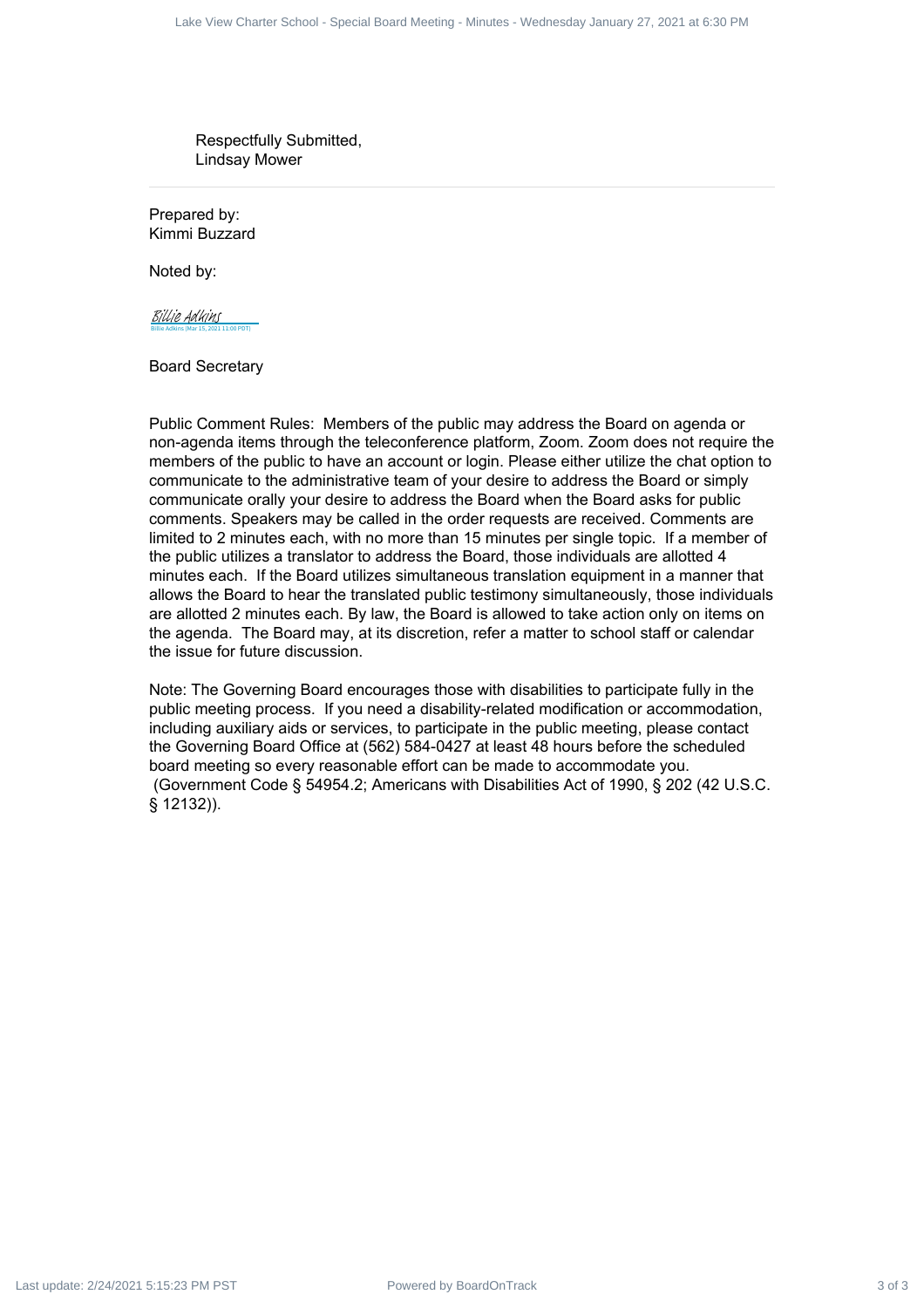Respectfully Submitted, Lindsay Mower

Prepared by: Kimmi Buzzard

Noted by:

Billie Adkins (Mar 15, 2021 11:00 PDT) [Billie Adkins](https://na1.documents.adobe.com/verifier?tx=CBJCHBCAABAA9V3KObwTLCLi8N0Y9bObeuIlmjhRtJT-)

Board Secretary

Public Comment Rules: Members of the public may address the Board on agenda or non-agenda items through the teleconference platform, Zoom. Zoom does not require the members of the public to have an account or login. Please either utilize the chat option to communicate to the administrative team of your desire to address the Board or simply communicate orally your desire to address the Board when the Board asks for public comments. Speakers may be called in the order requests are received. Comments are limited to 2 minutes each, with no more than 15 minutes per single topic. If a member of the public utilizes a translator to address the Board, those individuals are allotted 4 minutes each. If the Board utilizes simultaneous translation equipment in a manner that allows the Board to hear the translated public testimony simultaneously, those individuals are allotted 2 minutes each. By law, the Board is allowed to take action only on items on the agenda. The Board may, at its discretion, refer a matter to school staff or calendar the issue for future discussion. Late Seve Contract 3 of 3 Lace View Charter 3 of 3 Lace View Charter School - Special Board Meeting School - Special Board Meeting - Minutes and School - Special Board Meeting - Minutes - Wednesday January 27, 2021 at 6:3

Note: The Governing Board encourages those with disabilities to participate fully in the public meeting process. If you need a disability-related modification or accommodation, including auxiliary aids or services, to participate in the public meeting, please contact the Governing Board Office at (562) 584-0427 at least 48 hours before the scheduled board meeting so every reasonable effort can be made to accommodate you. (Government Code § 54954.2; Americans with Disabilities Act of 1990, § 202 (42 U.S.C. § 12132)).